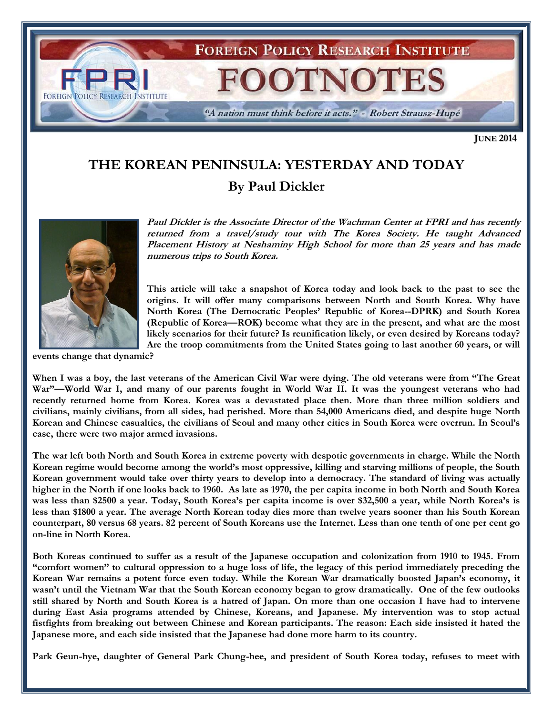

**JUNE 2014**

## **THE KOREAN PENINSULA: YESTERDAY AND TODAY By Paul Dickler**



**Paul Dickler is the Associate Director of the Wachman Center at FPRI and has recently returned from a travel/study tour with The Korea Society. He taught Advanced Placement History at Neshaminy High School for more than 25 years and has made numerous trips to South Korea.**

**This article will take a snapshot of Korea today and look back to the past to see the origins. It will offer many comparisons between North and South Korea. Why have North Korea (The Democratic Peoples' Republic of Korea--DPRK) and South Korea (Republic of Korea—ROK) become what they are in the present, and what are the most likely scenarios for their future? Is reunification likely, or even desired by Koreans today? Are the troop commitments from the United States going to last another 60 years, or will** 

**events change that dynamic?**

**When I was a boy, the last veterans of the American Civil War were dying. The old veterans were from "The Great War"—World War I, and many of our parents fought in World War II. It was the youngest veterans who had recently returned home from Korea. Korea was a devastated place then. More than three million soldiers and civilians, mainly civilians, from all sides, had perished. More than 54,000 Americans died, and despite huge North Korean and Chinese casualties, the civilians of Seoul and many other cities in South Korea were overrun. In Seoul's case, there were two major armed invasions.** 

**The war left both North and South Korea in extreme poverty with despotic governments in charge. While the North Korean regime would become among the world's most oppressive, killing and starving millions of people, the South Korean government would take over thirty years to develop into a democracy. The standard of living was actually higher in the North if one looks back to 1960. As late as 1970, the per capita income in both North and South Korea was less than \$2500 a year. Today, South Korea's per capita income is over \$32,500 a year, while North Korea's is less than \$1800 a year. The average North Korean today dies more than twelve years sooner than his South Korean counterpart, 80 versus 68 years. 82 percent of South Koreans use the Internet. Less than one tenth of one per cent go on-line in North Korea.**

**Both Koreas continued to suffer as a result of the Japanese occupation and colonization from 1910 to 1945. From "comfort women" to cultural oppression to a huge loss of life, the legacy of this period immediately preceding the Korean War remains a potent force even today. While the Korean War dramatically boosted Japan's economy, it wasn't until the Vietnam War that the South Korean economy began to grow dramatically. One of the few outlooks still shared by North and South Korea is a hatred of Japan. On more than one occasion I have had to intervene during East Asia programs attended by Chinese, Koreans, and Japanese. My intervention was to stop actual fistfights from breaking out between Chinese and Korean participants. The reason: Each side insisted it hated the Japanese more, and each side insisted that the Japanese had done more harm to its country.**

**Park Geun-hye, daughter of General Park Chung-hee, and president of South Korea today, refuses to meet with**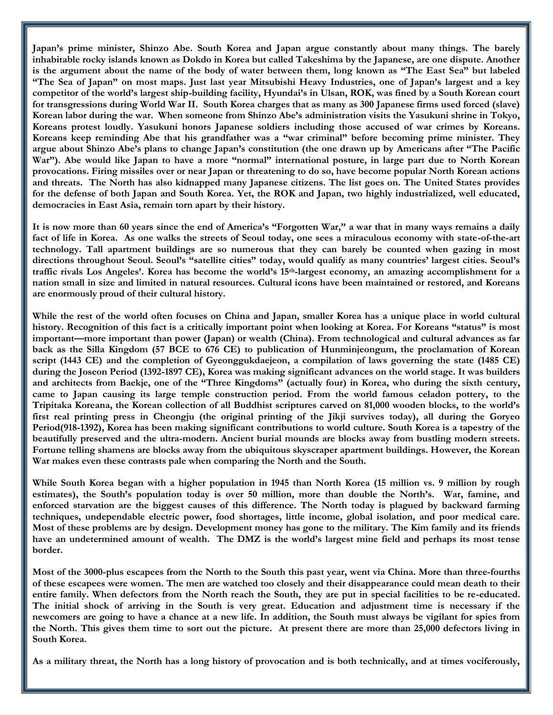**Japan's prime minister, Shinzo Abe. South Korea and Japan argue constantly about many things. The barely inhabitable rocky islands known as Dokdo in Korea but called Takeshima by the Japanese, are one dispute. Another is the argument about the name of the body of water between them, long known as "The East Sea" but labeled "The Sea of Japan" on most maps. Just last year Mitsubishi Heavy Industries, one of Japan's largest and a key competitor of the world's largest ship-building facility, Hyundai's in Ulsan, ROK, was fined by a South Korean court for transgressions during World War II. South Korea charges that as many as 300 Japanese firms used forced (slave) Korean labor during the war. When someone from Shinzo Abe's administration visits the Yasukuni shrine in Tokyo, Koreans protest loudly. Yasukuni honors Japanese soldiers including those accused of war crimes by Koreans. Koreans keep reminding Abe that his grandfather was a "war criminal" before becoming prime minister. They argue about Shinzo Abe's plans to change Japan's constitution (the one drawn up by Americans after "The Pacific War"). Abe would like Japan to have a more "normal" international posture, in large part due to North Korean provocations. Firing missiles over or near Japan or threatening to do so, have become popular North Korean actions and threats. The North has also kidnapped many Japanese citizens. The list goes on. The United States provides for the defense of both Japan and South Korea. Yet, the ROK and Japan, two highly industrialized, well educated, democracies in East Asia, remain torn apart by their history.** 

**It is now more than 60 years since the end of America's "Forgotten War," a war that in many ways remains a daily fact of life in Korea. As one walks the streets of Seoul today, one sees a miraculous economy with state-of-the-art technology. Tall apartment buildings are so numerous that they can barely be counted when gazing in most directions throughout Seoul. Seoul's "satellite cities" today, would qualify as many countries' largest cities. Seoul's traffic rivals Los Angeles'. Korea has become the world's 15th-largest economy, an amazing accomplishment for a nation small in size and limited in natural resources. Cultural icons have been maintained or restored, and Koreans are enormously proud of their cultural history.** 

**While the rest of the world often focuses on China and Japan, smaller Korea has a unique place in world cultural history. Recognition of this fact is a critically important point when looking at Korea. For Koreans "status" is most important—more important than power (Japan) or wealth (China). From technological and cultural advances as far back as the Silla Kingdom (57 BCE to 676 CE) to publication of Hunminjeongum, the proclamation of Korean script (1443 CE) and the completion of Gyeonggukdaejeon, a compilation of laws governing the state (1485 CE) during the Joseon Period (1392-1897 CE), Korea was making significant advances on the world stage. It was builders**  and architects from Baekje, one of the "Three Kingdoms" (actually four) in Korea, who during the sixth century, **came to Japan causing its large temple construction period. From the world famous celadon pottery, to the Tripitaka Koreana, the Korean collection of all Buddhist scriptures carved on 81,000 wooden blocks, to the world's first real printing press in Cheongju (the original printing of the Jikji survives today), all during the Goryeo Period(918-1392), Korea has been making significant contributions to world culture. South Korea is a tapestry of the beautifully preserved and the ultra-modern. Ancient burial mounds are blocks away from bustling modern streets. Fortune telling shamens are blocks away from the ubiquitous skyscraper apartment buildings. However, the Korean War makes even these contrasts pale when comparing the North and the South.**

**While South Korea began with a higher population in 1945 than North Korea (15 million vs. 9 million by rough estimates), the South's population today is over 50 million, more than double the North's. War, famine, and enforced starvation are the biggest causes of this difference. The North today is plagued by backward farming techniques, undependable electric power, food shortages, little income, global isolation, and poor medical care. Most of these problems are by design. Development money has gone to the military. The Kim family and its friends have an undetermined amount of wealth. The DMZ is the world's largest mine field and perhaps its most tense border.** 

**Most of the 3000-plus escapees from the North to the South this past year, went via China. More than three-fourths of these escapees were women. The men are watched too closely and their disappearance could mean death to their entire family. When defectors from the North reach the South, they are put in special facilities to be re-educated. The initial shock of arriving in the South is very great. Education and adjustment time is necessary if the newcomers are going to have a chance at a new life. In addition, the South must always be vigilant for spies from the North. This gives them time to sort out the picture. At present there are more than 25,000 defectors living in South Korea.**

**As a military threat, the North has a long history of provocation and is both technically, and at times vociferously,**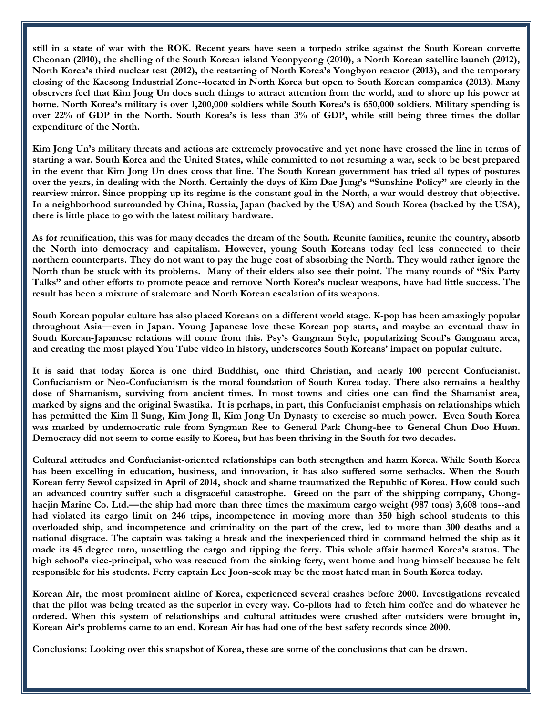**still in a state of war with the ROK. Recent years have seen a torpedo strike against the South Korean corvette Cheonan (2010), the shelling of the South Korean island Yeonpyeong (2010), a North Korean satellite launch (2012), North Korea's third nuclear test (2012), the restarting of North Korea's Yongbyon reactor (2013), and the temporary closing of the Kaesong Industrial Zone--located in North Korea but open to South Korean companies (2013). Many observers feel that Kim Jong Un does such things to attract attention from the world, and to shore up his power at home. North Korea's military is over 1,200,000 soldiers while South Korea's is 650,000 soldiers. Military spending is over 22% of GDP in the North. South Korea's is less than 3% of GDP, while still being three times the dollar expenditure of the North.** 

**Kim Jong Un's military threats and actions are extremely provocative and yet none have crossed the line in terms of starting a war. South Korea and the United States, while committed to not resuming a war, seek to be best prepared in the event that Kim Jong Un does cross that line. The South Korean government has tried all types of postures over the years, in dealing with the North. Certainly the days of Kim Dae Jung's "Sunshine Policy" are clearly in the rearview mirror. Since propping up its regime is the constant goal in the North, a war would destroy that objective. In a neighborhood surrounded by China, Russia, Japan (backed by the USA) and South Korea (backed by the USA), there is little place to go with the latest military hardware.**

**As for reunification, this was for many decades the dream of the South. Reunite families, reunite the country, absorb the North into democracy and capitalism. However, young South Koreans today feel less connected to their northern counterparts. They do not want to pay the huge cost of absorbing the North. They would rather ignore the North than be stuck with its problems. Many of their elders also see their point. The many rounds of "Six Party Talks" and other efforts to promote peace and remove North Korea's nuclear weapons, have had little success. The result has been a mixture of stalemate and North Korean escalation of its weapons.**

**South Korean popular culture has also placed Koreans on a different world stage. K-pop has been amazingly popular throughout Asia—even in Japan. Young Japanese love these Korean pop starts, and maybe an eventual thaw in South Korean-Japanese relations will come from this. Psy's Gangnam Style, popularizing Seoul's Gangnam area, and creating the most played You Tube video in history, underscores South Koreans' impact on popular culture.**

**It is said that today Korea is one third Buddhist, one third Christian, and nearly 100 percent Confucianist. Confucianism or Neo-Confucianism is the moral foundation of South Korea today. There also remains a healthy dose of Shamanism, surviving from ancient times. In most towns and cities one can find the Shamanist area, marked by signs and the original Swastika. It is perhaps, in part, this Confucianist emphasis on relationships which has permitted the Kim Il Sung, Kim Jong Il, Kim Jong Un Dynasty to exercise so much power. Even South Korea was marked by undemocratic rule from Syngman Ree to General Park Chung-hee to General Chun Doo Huan. Democracy did not seem to come easily to Korea, but has been thriving in the South for two decades.**

**Cultural attitudes and Confucianist-oriented relationships can both strengthen and harm Korea. While South Korea has been excelling in education, business, and innovation, it has also suffered some setbacks. When the South Korean ferry Sewol capsized in April of 2014, shock and shame traumatized the Republic of Korea. How could such an advanced country suffer such a disgraceful catastrophe. Greed on the part of the shipping company, Chonghaejin Marine Co. Ltd.—the ship had more than three times the maximum cargo weight (987 tons) 3,608 tons--and had violated its cargo limit on 246 trips, incompetence in moving more than 350 high school students to this overloaded ship, and incompetence and criminality on the part of the crew, led to more than 300 deaths and a national disgrace. The captain was taking a break and the inexperienced third in command helmed the ship as it made its 45 degree turn, unsettling the cargo and tipping the ferry. This whole affair harmed Korea's status. The high school's vice-principal, who was rescued from the sinking ferry, went home and hung himself because he felt responsible for his students. Ferry captain Lee Joon-seok may be the most hated man in South Korea today.** 

**Korean Air, the most prominent airline of Korea, experienced several crashes before 2000. Investigations revealed that the pilot was being treated as the superior in every way. Co-pilots had to fetch him coffee and do whatever he ordered. When this system of relationships and cultural attitudes were crushed after outsiders were brought in, Korean Air's problems came to an end. Korean Air has had one of the best safety records since 2000.**

**Conclusions: Looking over this snapshot of Korea, these are some of the conclusions that can be drawn.**